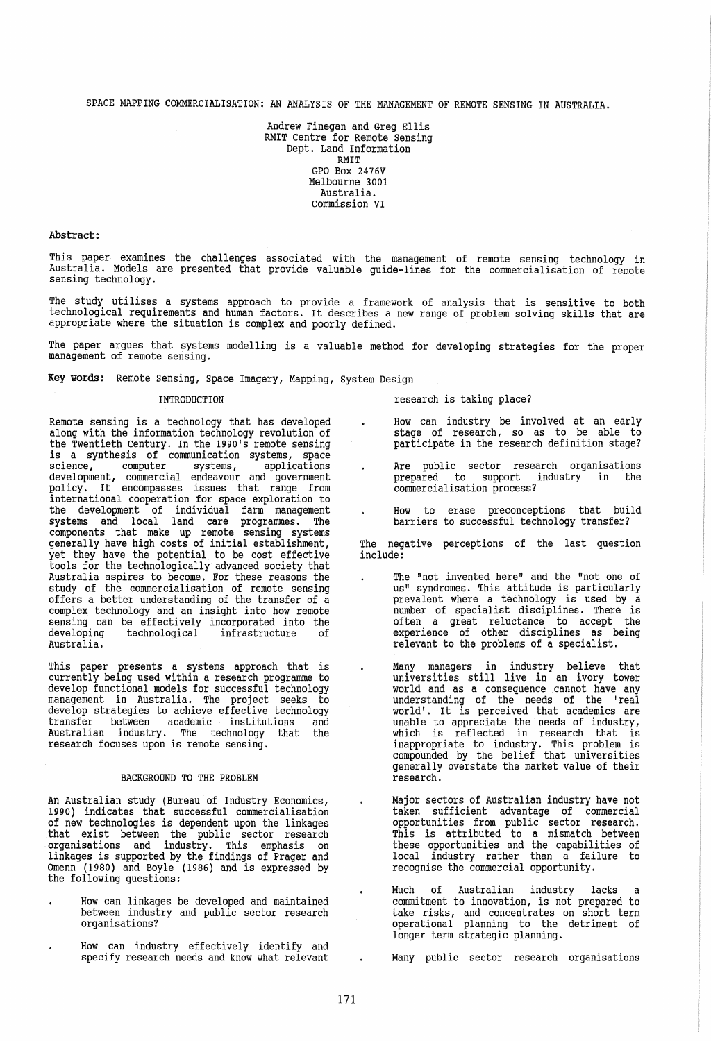SPACE MAPPING COMMERCIALISATION: AN ANALYSIS OF THE MANAGEMENT OF REMOTE SENSING IN AUSTRALIA.

Andrew Finegan and Greg Ellis RMIT Centre for Remote Sensing Dept. Land Information RMIT GPO Box 2476V Melbourne 3001 Australia. commission VI

### Abstract:

This paper examines the challenges associated with the management of remote sensing technology in Australia. Models are presented that provide valuable guide-lines for the commercialisation of remote sensing technology.

The study utilises a systems approach to provide a framework of analysis that is sensitive to both technological requirements and human factors. It describes a new range of problem solving skills that are appropriate where the situation is complex and poorly defined.

The paper argues that systems modelling is a valuable method for developing strategies for the proper management of remote sensing.

 $\ddot{\phantom{0}}$ 

Key words: Remote Sensing, Space Imagery, Mapping, system Design

## INTRODUCTION

Remote sensing is a technology that has developed along with the information technology revolution of the Twentieth Century. In the 1990's remote sensing is a synthesis of communication systems, space science, computer systems, applications science, computer systems, applications<br>development, commercial endeavour and government<br>policy. It encompasses issues that range from international cooperation for space exploration to the development of individual farm management systems and local land care programmes. The components that make up remote sensing systems generally have high costs of initial establishment, yet they have the potential to be cost effective tools for the technologically advanced society that Australia aspires to become. For these reasons the study of the commercialisation of remote sensing offers a better understanding of the transfer of a complex technology and an insight into how remote sensing can be effectively incorporated into the developing technological infrastructure of developing<br>Australia.

This paper presents a systems approach that is currently being used within a research programme to develop functional models for successful technology management in Australia. The project seeks to develop strategies to achieve effective technology transfer between academic institutions and Australian industry. The technology that the research focuses upon is remote sensing.

### BACKGROUND TO THE PROBLEM

An Australian study (Bureau of Industry Economics, 1990) indicates that successful commercialisation of new technologies is dependent upon the linkages that exist between the public sector research organisations and industry. This emphasis on linkages is supported by the findings of Prager and Omenn (1980) and Boyle (1986) and is expressed by the following questions:

- How can linkages be developed and maintained between industry and public sector research organisations?
- How can industry effectively identify and specify research needs and know what relevant

research is taking place?

- How can industry be involved at an early stage of research, so as to be able to participate in the research definition stage?
- Are public sector research organisations prepared to support industry in the commercialisation process?
- How to erase preconceptions that build barriers to successful technology transfer?

The negative perceptions of the last question include:

- The "not invented here" and the "not one of us" syndromes. This attitude is particularly prevalent where a technology is used by a number of specialist disciplines. There is often a great reluctance to accept the experience of other disciplines as being relevant to the problems of a specialist.
- Many managers in industry believe that<br>universities still live in an ivory tower world and as a consequence cannot have any understanding of the needs of the 'real world'. It is perceived that academics are unable to appreciate the needs of industry, which is reflected in research that is inappropriate to industry. This problem is compounded by the belief that universities generally overstate the market value of their research.
	- Major sectors of Australian industry have not taken sufficient advantage of commercial opportunities from public sector research. This is attributed to a mismatch between these opportunities and the capabilities of local industry rather than a failure to recognise the commercial opportunity.
	- Much of Australian industry lacks commitment to innovation, is not prepared to take risks, and concentrates on short term operational planning to the detriment of longer term strategic planning.

Many public sector research organisations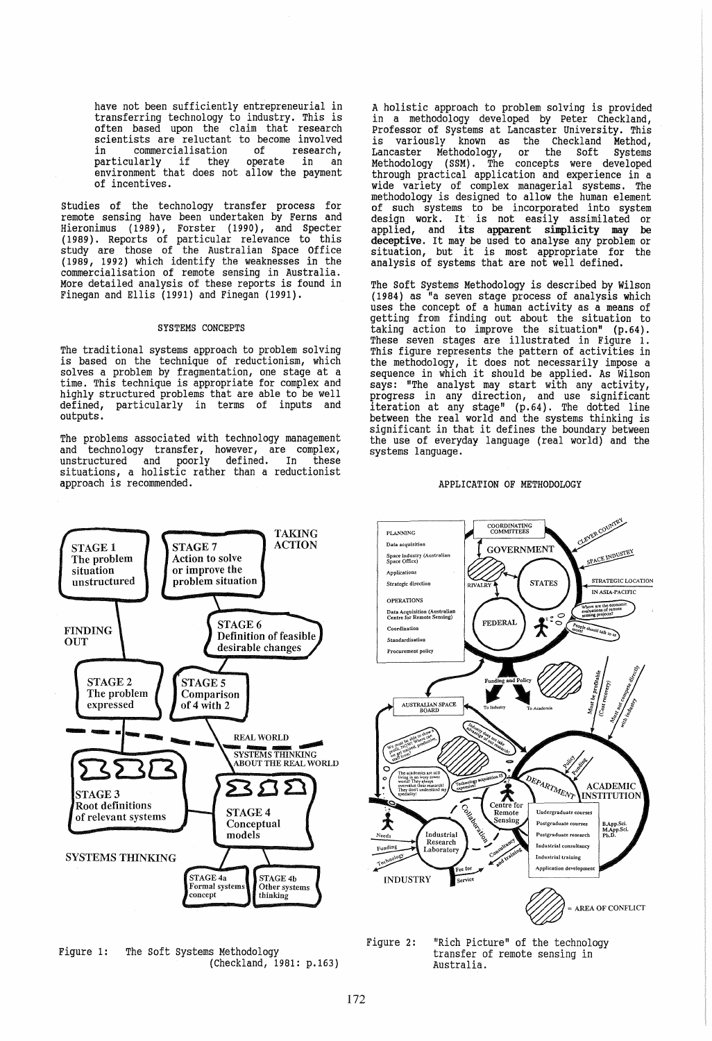have not been sufficiently entrepreneurial in transferring technology to industry. This is often based upon the claim that research scientists are reluctant to become involved in commercialisation of research, nticularly if they operate in an environment that does not allow the payment of incentives.

studies of the technology transfer process for remote sensing have been undertaken by Ferns and Hieronimus (1989), Forster (1990), and Specter (1989). Reports of particular relevance to this study are those of the Australian Space Office (1989, 1992) which identify the weaknesses in the commercialisation of remote sensing in Australia. More detailed analysis of these reports is found in Finegan and Ellis (1991) and Finegan (1991).

## SYSTEMS CONCEPTS

The traditional systems approach to problem solving is based on the technique of reductionism, which solves a problem by fragmentation, one stage at a time. This technique is appropriate for complex and highly structured problems that are able to be well defined, particularly in terms of inputs and particularly in terms of inputs and outputs.

The problems associated with technology management and technology transfer, however, are complex, unstructured and poorly defined. In these situations, a holistic rather than a reductionist approach is recommended.

A holistic approach to problem solving is provided in a methodology developed by Peter Checkland, Professor of Systems at Lancaster University. This<br>is variously known as the Checkland Method, known as the Checkland Method, Lancaster Methodology, or the Soft Systems Methodology (SSM). The concepts were developed through practical application and experience in a wide variety of complex managerial systems. The methodology is designed to allow the human element of such systems to be incorporated into system design work. It' is not easily assimilated or applied, and its apparent simplicity may be deceptive. It may be used to analyse any problem or situation. but it is most appropriate for the situation, but it is most appropriate for the analysis of systems that are not well defined.

The Soft systems Methodology is described by Wilson {1984} as "a seven stage process of analysis which uses the concept of a human activity as a means of getting from finding out about the situation to taking action to improve the situation" (p.64). These seven stages are illustrated in Figure 1. This figure represents the pattern of activities in the methodology, it does not necessarily impose a sequence in which it should be applied. As Wilson says: "The analyst may start with any activity, progress in any direction, and use significant iteration at any stage" (p.64). The dotted line between the real world and the systems thinking is significant in that it defines the boundary between the use of everyday language (real world) and the systems language.





Figure 1: The Soft Systems Methodology (Checkland, 1981: p.163)



Figure 2: "Rich Picture" of the technology transfer of remote sensing in Australia.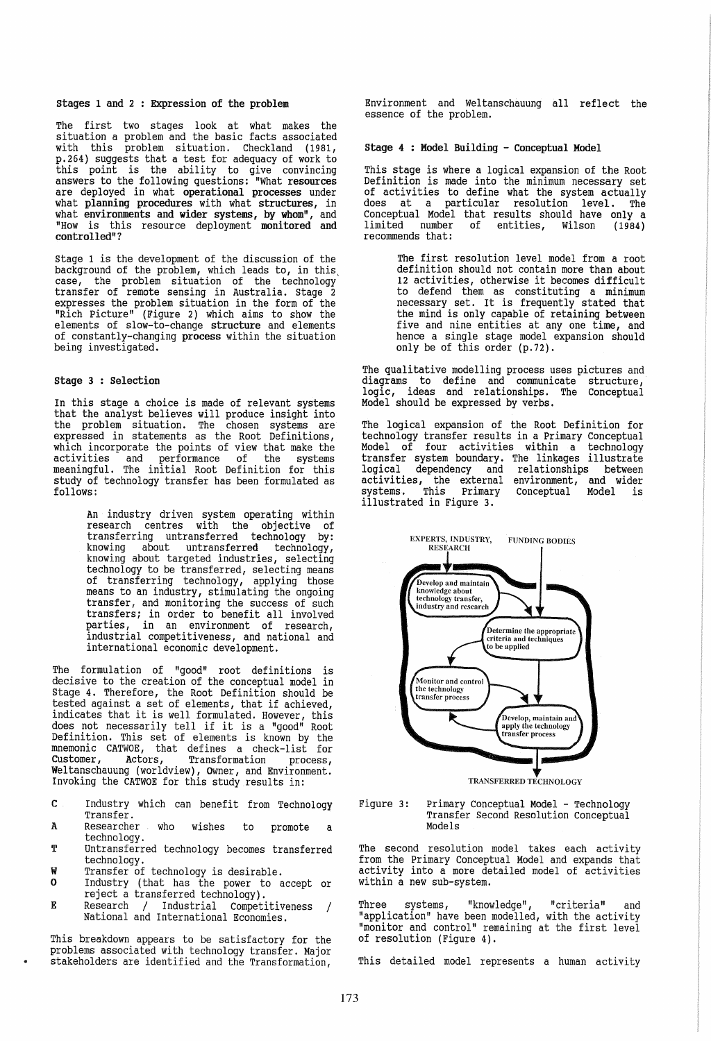## stages 1 and 2 : Expression of the problem

The first two stages look at what makes the situation a problem and the basic facts associated with this problem situation. Checkland (1981, p.264) suggests that a test for adequacy of work to this point is the ability to give convincing answers to the following questions: "What resources are deployed in what operational processes under what planning procedures with what structures, in what environments and wider systems, by whom", and "How is this resource deployment monitored and controlled"?

stage 1 is the development of the discussion of the background of the problem, which leads to, in this, case, the problem situation of the technology transfer of remote sensing in Australia. Stage 2 expresses the problem situation in the form of the "Rich Picture" (Figure 2) which aims to show the elements of slow-to-change structure and elements of constantly-changing process within the situation being investigated.

# stage 3 : Selection

In this stage a choice is made of relevant systems that the analyst believes will produce insight into the problem situation. The chosen systems are expressed in statements as the Root Definitions, which incorporate the points of view that make the activities and performance of the systems meaningful. The initial Root Definition for this study of technology transfer has been formulated as follows:

> An industry driven system operating within research centres with the objective of transferring untransferred technology by: knowing about untransferred technology,<br>knowing about targeted industries, selecting knowing about targeted industries, selecting<br>technology to be transferred, selecting means of transferring technology, applying those means to an industry, stimulating the ongoing transfer, and monitoring the success of such transfers; in order to benefit all involved parties, in an environment of research, industrial competitiveness, and national and international economic development.

The formulation of "good" root definitions is decisive to the creation of the conceptual model in stage 4. Therefore, the Root Definition should be tested against a set of elements, that if achieved, indicates that it is well formulated. However, this does not necessarily tell if it is a "good" Root Definition. This set of elements is known by the mnemonic CATWOE, that defines a check-list for customer, Actors, Transformation process, Weltanschauung (worldview), Owner, and Environment. Invoking the CATWOE for this study results in:

- C Industry which can benefit from Technology Transfer.
- A Researcher who wishes to promote a technology.
- T Untransferred technology becomes transferred technology.
- W Transfer of technology is desirable.<br>O Industry (that has the power to a
- Industry (that has the power to accept or reject a transferred technology).
- E Research / Industrial Competitiveness / National and International Economies.

This breakdown appears to be satisfactory for the problems associated with technology transfer. Major stakeholders are identified and the Transformation,

Environment and Weltanschauung all reflect the essence of the problem.

### stage 4 : Model Building - conceptual Model

This stage is where a logical expansion of the Root Definition is made into the minimum necessary set of activities to define what the system actually does at a particular resolution level. The Conceptual Model that results should have only a limited number of entities, Wilson (1984) recommends that:

> The first resolution level model from a root definition should not contain more than about 12 activities, otherwise it becomes difficult to defend them as constituting a minimum necessary set. It is frequently stated that the mind is only capable of retaining between five and nine entities at anyone time, and hence a single stage model expansion should only be of this order (p.72).

The qualitative modelling process uses pictures and diagrams to define and communicate structure, logic, ideas and relationships. The Conceptual Model should be expressed by verbs.

The logical expansion of the Root Definition for technology transfer results in a Primary Conceptual Model of four activities within a technology transfer system boundary. The linkages illustrate logical dependency and relationships between activities, the external environment, and wider systems. This Primary conceptual Model is illustrated in Figure 3.



TRANSFERRED TECHNOLOGY

#### Figure 3: Primary Conceptual Model - Technology Transfer Second Resolution Conceptual Models

The second resolution model takes each activity from the Primary Conceptual Model and expands that activity into a more detailed model of activities within a new sub-system.

Three systems, "knowledge", "criteria" and "application" have been modelled, with the activity "monitor and control" remaining at the first level of resolution (Figure 4).

This detailed model represents a human activity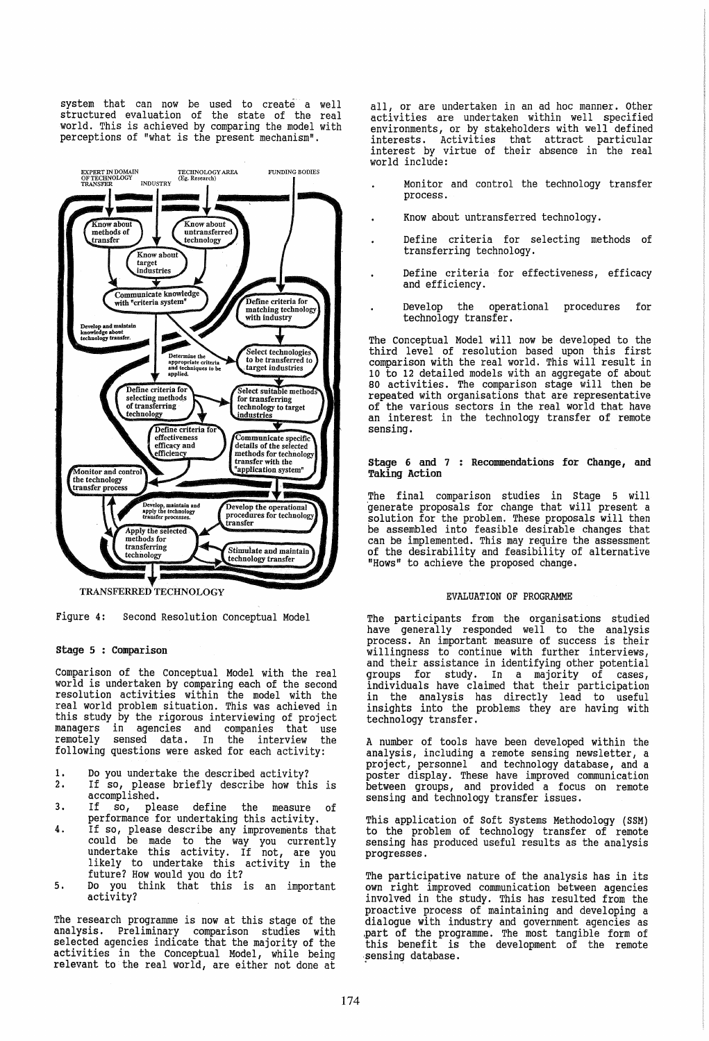system that can now be used to create a well structured evaluation of the state of the real world. This is achieved by comparing the model with perceptions of "what is the present mechanism".



Figure 4: Second Resolution conceptual Model

## stage 5 : Comparison

Comparison of the conceptual Model with the real world is undertaken by comparing each of the second resolution activities within the model with the real world problem situation. This was achieved in this study by the rigorous interviewing of project managers in agencies and companies that use remotely sensed data. In the interview the following questions were asked for each activity:

- 1. Do you undertake the described activity?<br>2. If so, please briefly describe how thi
- 1. Bo you undertake the described activity:<br>2. If so, please briefly describe how this is accomplished.
- 3. If so, please define the measure performance for undertaking this activity.
- 4. If so, please describe any improvements that could be made to the way you currently<br>undertake this activity. If not, are you likely to undertake this activity in the future? How would you do it?
- 5. Do you think that this is an important activity?

The research programme is now at this stage of the analysis. Preliminary comparison studies with selected agencies indicate that the majority of the activities in the Conceptual Model, while being relevant to the real world, are either not done at

all, or are undertaken in an ad hoc manner. Other activities are undertaken within well specified environments, or by stakeholders with well defined interests. Activities that attract particular interest by virtue of their absence in the real world include:

- Monitor and control the technology transfer process.
- Know about untransferred technology.
- Define criteria for selecting methods of transferring technology.
- Define criteria for effectiveness, efficacy and efficiency.
- Develop the operational procedures for  $\overline{a}$ technology transfer.

The Conceptual Model will now be developed to the third level of resolution based upon this first comparison with the real world. This will result in 10 to 12 detailed models with an aggregate of about 80 activities. The comparison stage will then be repeated with organisations that are representative of the various sectors in the real world that have an interest in the technology transfer of remote sensing.

### stage 6 and 7 Recommendations for Change, and Taking Action

The final comparison studies in Stage 5 will 'generate proposals for change that will present a solution for the problem. These proposals will then be assembled into feasible desirable changes that can be implemented. This may require the assessment of the desirability and feasibility of alternative "Hows" to achieve the proposed change.

## EVALUATION OF PROGRAMME

The participants from the organisations studied have generally responded well to the analysis process. An important measure of success is their willingness to continue with further interviews, and their assistance in identifying other potential groups for study. In a majority of cases, individuals have claimed that their participation in the analysis has directly lead to useful insights into the problems they are having with technology transfer.

A number of tools have been developed within the analysis, including a remote sensing newsletter, a project, personnel and technology database, and a poster display. These have improved communication between groups, and provided a focus on remote sensing and technology transfer issues.

This application of Soft systems Methodology (SSM) to the problem of technology transfer of remote sensing has produced useful results as the analysis progresses.

The participative nature of the analysis has in its own right improved communication between agencies involved in the study. This has resulted from the proactive process of maintaining and developing a dialogue with industry and government agencies as .part of the programme. The most tangible form of this benefit is the development of the remote sensing database.